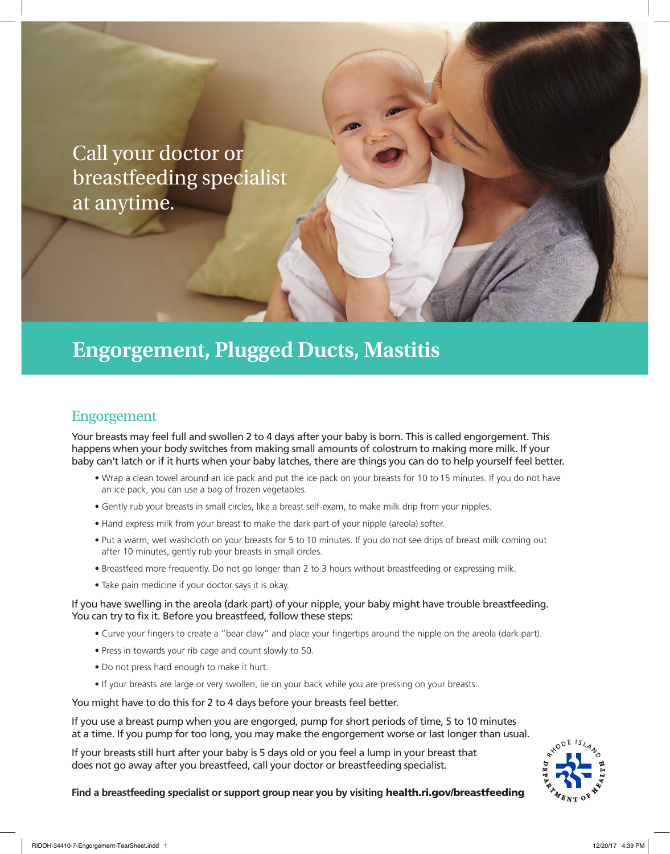Call your doctor or breastfeeding specialist at anytime.

## **Engorgement, Plugged Ducts, Mastitis**

### Engorgement

Your breasts may feel full and swollen 2 to 4 days after your baby is born. This is called engorgement. This happens when your body switches from making small amounts of colostrum to making more milk. If your baby can't latch or if it hurts when your baby latches, there are things you can do to help yourself feel better.

- Wrap a clean towel around an ice pack and put the ice pack on your breasts for 10 to 15 minutes. If you do not have an ice pack, you can use a bag of frozen vegetables.
- Gently rub your breasts in small circles, like a breast self-exam, to make milk drip from your nipples.
- Hand express milk from your breast to make the dark part of your nipple (areola) softer.
- Put a warm, wet washcloth on your breasts for 5 to 10 minutes. If you do not see drips of breast milk coming out after 10 minutes, gently rub your breasts in small circles.
- Breastfeed more frequently. Do not go longer than 2 to 3 hours without breastfeeding or expressing milk.
- Take pain medicine if your doctor says it is okay.

#### If you have swelling in the areola (dark part) of your nipple, your baby might have trouble breastfeeding. You can try to fix it. Before you breastfeed, follow these steps:

- Curve your fingers to create a "bear claw" and place your fingertips around the nipple on the areola (dark part).
- Press in towards your rib cage and count slowly to 50.
- Do not press hard enough to make it hurt.
- If your breasts are large or very swollen, lie on your back while you are pressing on your breasts.

You might have to do this for 2 to 4 days before your breasts feel better.

If you use a breast pump when you are engorged, pump for short periods of time, 5 to 10 minutes at a time. If you pump for too long, you may make the engorgement worse or last longer than usual.

If your breasts still hurt after your baby is 5 days old or you feel a lump in your breast that does not go away after you breastfeed, call your doctor or breastfeeding specialist.



**Find a breastfeeding specialist or support group near you by visiting** health.ri.gov/breastfeeding